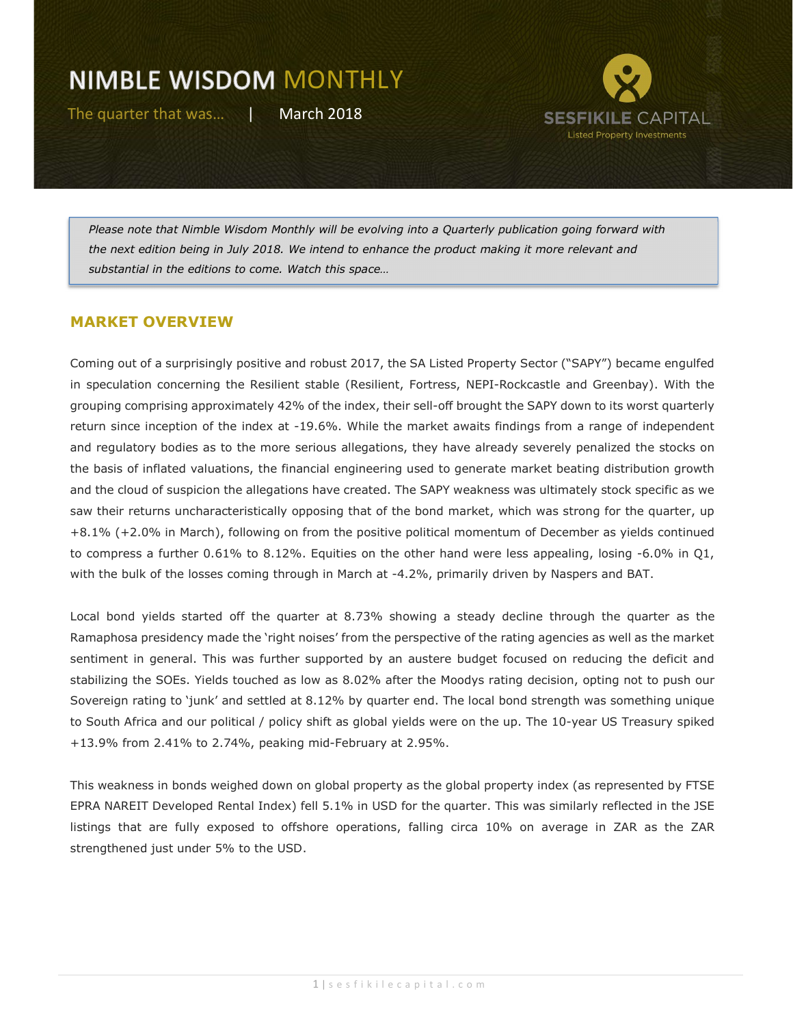

Please note that Nimble Wisdom Monthly will be evolving into a Quarterly publication going forward with the next edition being in July 2018. We intend to enhance the product making it more relevant and substantial in the editions to come. Watch this space…

#### MARKET OVERVIEW

Coming out of a surprisingly positive and robust 2017, the SA Listed Property Sector ("SAPY") became engulfed in speculation concerning the Resilient stable (Resilient, Fortress, NEPI-Rockcastle and Greenbay). With the grouping comprising approximately 42% of the index, their sell-off brought the SAPY down to its worst quarterly return since inception of the index at -19.6%. While the market awaits findings from a range of independent and regulatory bodies as to the more serious allegations, they have already severely penalized the stocks on the basis of inflated valuations, the financial engineering used to generate market beating distribution growth and the cloud of suspicion the allegations have created. The SAPY weakness was ultimately stock specific as we saw their returns uncharacteristically opposing that of the bond market, which was strong for the quarter, up +8.1% (+2.0% in March), following on from the positive political momentum of December as yields continued to compress a further 0.61% to 8.12%. Equities on the other hand were less appealing, losing -6.0% in Q1, with the bulk of the losses coming through in March at -4.2%, primarily driven by Naspers and BAT.

Local bond yields started off the quarter at 8.73% showing a steady decline through the quarter as the Ramaphosa presidency made the 'right noises' from the perspective of the rating agencies as well as the market sentiment in general. This was further supported by an austere budget focused on reducing the deficit and stabilizing the SOEs. Yields touched as low as 8.02% after the Moodys rating decision, opting not to push our Sovereign rating to 'junk' and settled at 8.12% by quarter end. The local bond strength was something unique to South Africa and our political / policy shift as global yields were on the up. The 10-year US Treasury spiked +13.9% from 2.41% to 2.74%, peaking mid-February at 2.95%.

This weakness in bonds weighed down on global property as the global property index (as represented by FTSE EPRA NAREIT Developed Rental Index) fell 5.1% in USD for the quarter. This was similarly reflected in the JSE listings that are fully exposed to offshore operations, falling circa 10% on average in ZAR as the ZAR strengthened just under 5% to the USD.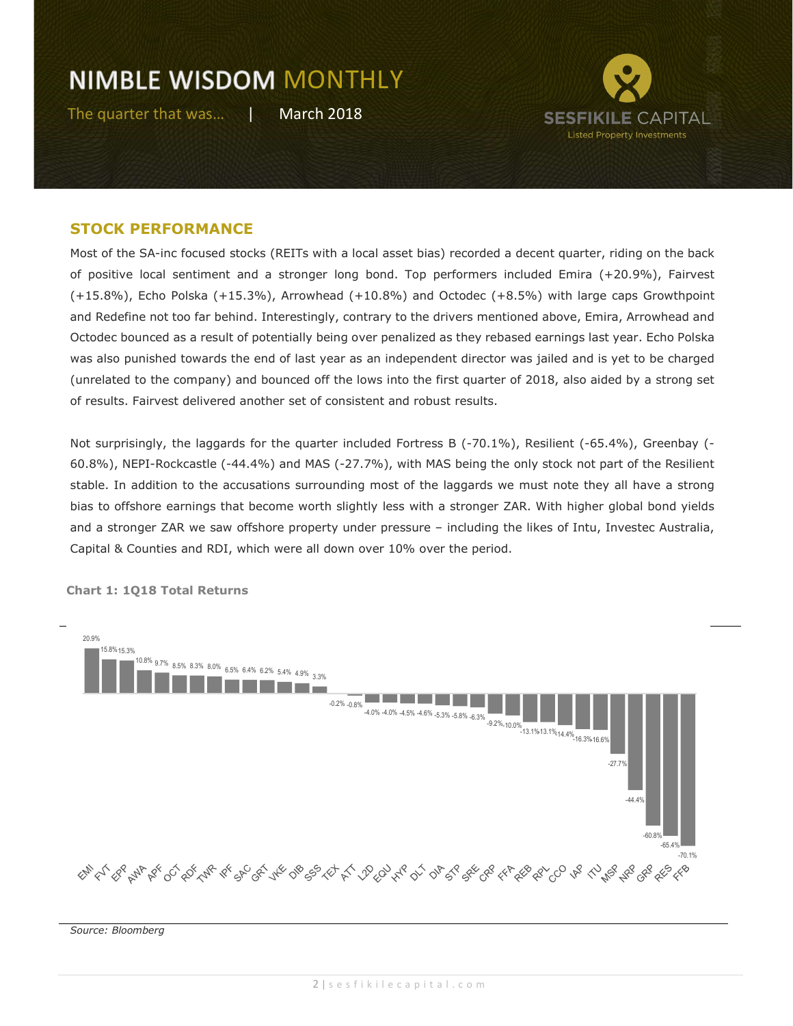

#### STOCK PERFORMANCE

Most of the SA-inc focused stocks (REITs with a local asset bias) recorded a decent quarter, riding on the back of positive local sentiment and a stronger long bond. Top performers included Emira (+20.9%), Fairvest (+15.8%), Echo Polska (+15.3%), Arrowhead (+10.8%) and Octodec (+8.5%) with large caps Growthpoint and Redefine not too far behind. Interestingly, contrary to the drivers mentioned above, Emira, Arrowhead and Octodec bounced as a result of potentially being over penalized as they rebased earnings last year. Echo Polska was also punished towards the end of last year as an independent director was jailed and is yet to be charged (unrelated to the company) and bounced off the lows into the first quarter of 2018, also aided by a strong set of results. Fairvest delivered another set of consistent and robust results.

Not surprisingly, the laggards for the quarter included Fortress B (-70.1%), Resilient (-65.4%), Greenbay (-60.8%), NEPI-Rockcastle (-44.4%) and MAS (-27.7%), with MAS being the only stock not part of the Resilient stable. In addition to the accusations surrounding most of the laggards we must note they all have a strong bias to offshore earnings that become worth slightly less with a stronger ZAR. With higher global bond yields and a stronger ZAR we saw offshore property under pressure – including the likes of Intu, Investec Australia, Capital & Counties and RDI, which were all down over 10% over the period.



Chart 1: 1Q18 Total Returns

Source: Bloomberg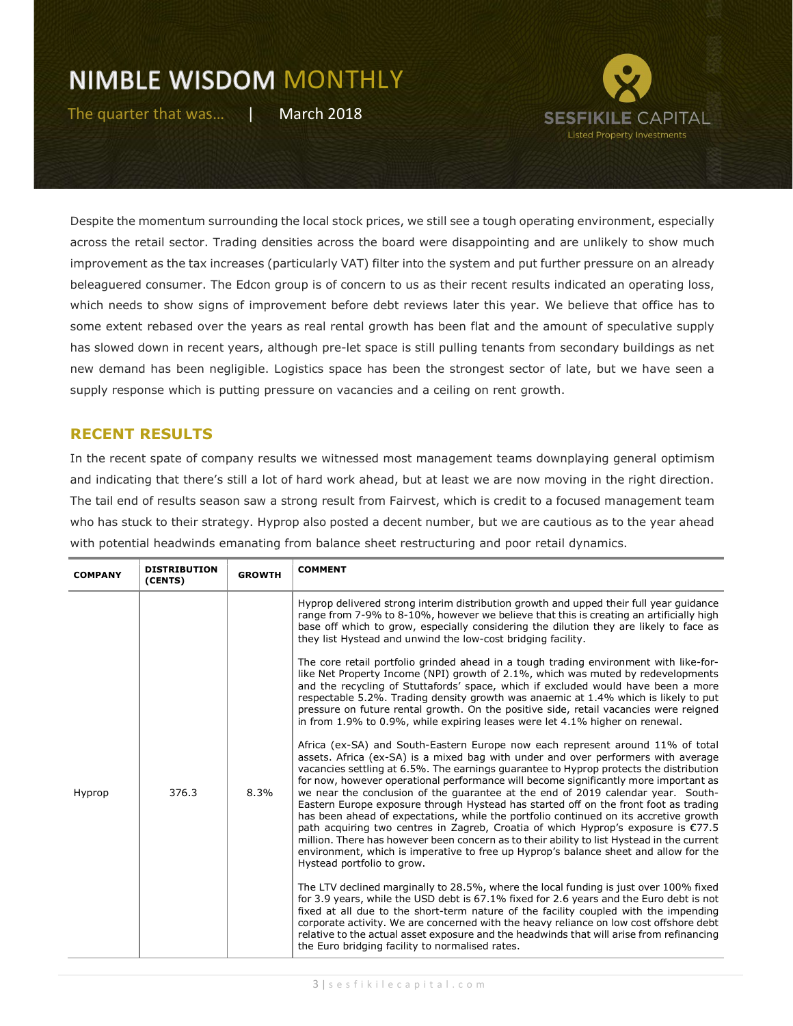

Despite the momentum surrounding the local stock prices, we still see a tough operating environment, especially across the retail sector. Trading densities across the board were disappointing and are unlikely to show much improvement as the tax increases (particularly VAT) filter into the system and put further pressure on an already beleaguered consumer. The Edcon group is of concern to us as their recent results indicated an operating loss, which needs to show signs of improvement before debt reviews later this year. We believe that office has to some extent rebased over the years as real rental growth has been flat and the amount of speculative supply has slowed down in recent years, although pre-let space is still pulling tenants from secondary buildings as net new demand has been negligible. Logistics space has been the strongest sector of late, but we have seen a supply response which is putting pressure on vacancies and a ceiling on rent growth.

### RECENT RESULTS

In the recent spate of company results we witnessed most management teams downplaying general optimism and indicating that there's still a lot of hard work ahead, but at least we are now moving in the right direction. The tail end of results season saw a strong result from Fairvest, which is credit to a focused management team who has stuck to their strategy. Hyprop also posted a decent number, but we are cautious as to the year ahead with potential headwinds emanating from balance sheet restructuring and poor retail dynamics.

| <b>COMPANY</b> | <b>DISTRIBUTION</b><br>(CENTS) | <b>GROWTH</b> | <b>COMMENT</b>                                                                                                                                                                                                                                                                                                                                                                                                                                                                                                                                                                                                                                                                                                                                                                                                                                                                                                                      |
|----------------|--------------------------------|---------------|-------------------------------------------------------------------------------------------------------------------------------------------------------------------------------------------------------------------------------------------------------------------------------------------------------------------------------------------------------------------------------------------------------------------------------------------------------------------------------------------------------------------------------------------------------------------------------------------------------------------------------------------------------------------------------------------------------------------------------------------------------------------------------------------------------------------------------------------------------------------------------------------------------------------------------------|
| Hyprop         | 376.3                          | 8.3%          | Hyprop delivered strong interim distribution growth and upped their full year quidance<br>range from 7-9% to 8-10%, however we believe that this is creating an artificially high<br>base off which to grow, especially considering the dilution they are likely to face as<br>they list Hystead and unwind the low-cost bridging facility.                                                                                                                                                                                                                                                                                                                                                                                                                                                                                                                                                                                         |
|                |                                |               | The core retail portfolio grinded ahead in a tough trading environment with like-for-<br>like Net Property Income (NPI) growth of 2.1%, which was muted by redevelopments<br>and the recycling of Stuttafords' space, which if excluded would have been a more<br>respectable 5.2%. Trading density growth was anaemic at 1.4% which is likely to put<br>pressure on future rental growth. On the positive side, retail vacancies were reigned<br>in from 1.9% to 0.9%, while expiring leases were let 4.1% higher on renewal.                                                                                                                                                                                                                                                                                                                                                                                                      |
|                |                                |               | Africa (ex-SA) and South-Eastern Europe now each represent around 11% of total<br>assets. Africa (ex-SA) is a mixed bag with under and over performers with average<br>vacancies settling at 6.5%. The earnings quarantee to Hyprop protects the distribution<br>for now, however operational performance will become significantly more important as<br>we near the conclusion of the quarantee at the end of 2019 calendar year. South-<br>Eastern Europe exposure through Hystead has started off on the front foot as trading<br>has been ahead of expectations, while the portfolio continued on its accretive growth<br>path acquiring two centres in Zagreb, Croatia of which Hyprop's exposure is €77.5<br>million. There has however been concern as to their ability to list Hystead in the current<br>environment, which is imperative to free up Hyprop's balance sheet and allow for the<br>Hystead portfolio to grow. |
|                |                                |               | The LTV declined marginally to 28.5%, where the local funding is just over 100% fixed<br>for 3.9 years, while the USD debt is 67.1% fixed for 2.6 years and the Euro debt is not<br>fixed at all due to the short-term nature of the facility coupled with the impending<br>corporate activity. We are concerned with the heavy reliance on low cost offshore debt<br>relative to the actual asset exposure and the headwinds that will arise from refinancing<br>the Euro bridging facility to normalised rates.                                                                                                                                                                                                                                                                                                                                                                                                                   |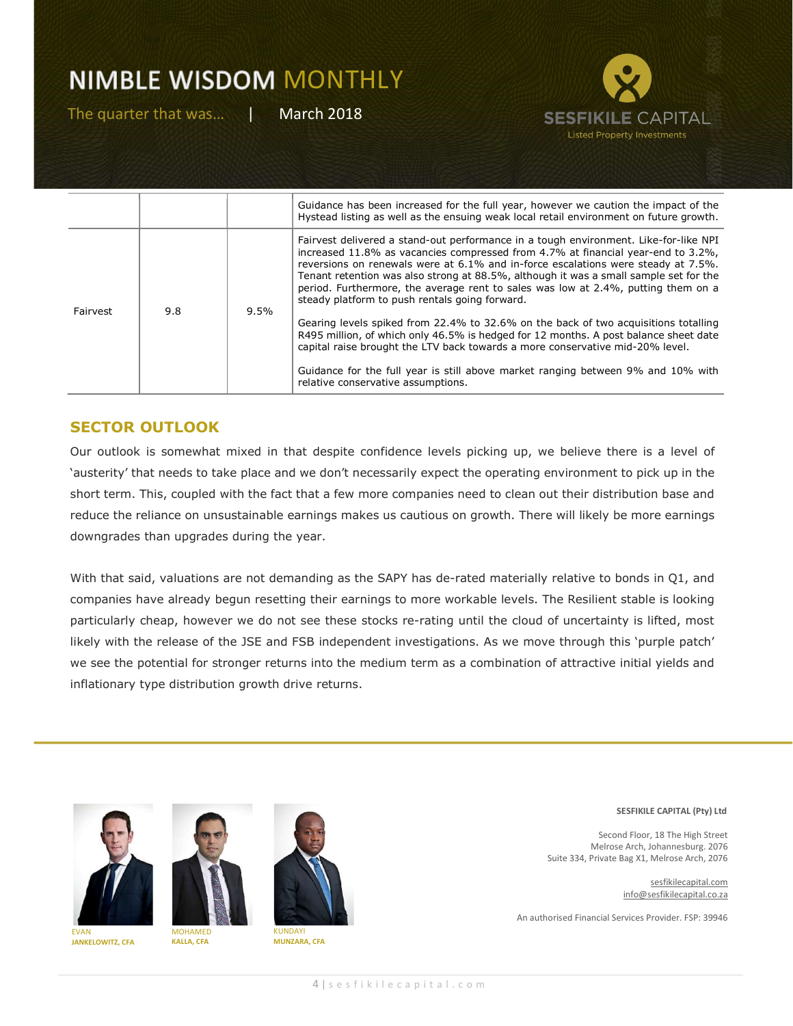

|          |     |      | Guidance has been increased for the full year, however we caution the impact of the<br>Hystead listing as well as the ensuing weak local retail environment on future growth.                                                                                                                                                                                                                                                                                                                 |
|----------|-----|------|-----------------------------------------------------------------------------------------------------------------------------------------------------------------------------------------------------------------------------------------------------------------------------------------------------------------------------------------------------------------------------------------------------------------------------------------------------------------------------------------------|
| Fairvest | 9.8 | 9.5% | Fairvest delivered a stand-out performance in a tough environment. Like-for-like NPI<br>increased 11.8% as vacancies compressed from 4.7% at financial year-end to 3.2%,<br>reversions on renewals were at 6.1% and in-force escalations were steady at 7.5%.<br>Tenant retention was also strong at 88.5%, although it was a small sample set for the<br>period. Furthermore, the average rent to sales was low at 2.4%, putting them on a<br>steady platform to push rentals going forward. |
|          |     |      | Gearing levels spiked from 22.4% to 32.6% on the back of two acquisitions totalling<br>R495 million, of which only 46.5% is hedged for 12 months. A post balance sheet date<br>capital raise brought the LTV back towards a more conservative mid-20% level.                                                                                                                                                                                                                                  |
|          |     |      | Guidance for the full year is still above market ranging between 9% and 10% with<br>relative conservative assumptions.                                                                                                                                                                                                                                                                                                                                                                        |

### SECTOR OUTLOOK

Our outlook is somewhat mixed in that despite confidence levels picking up, we believe there is a level of 'austerity' that needs to take place and we don't necessarily expect the operating environment to pick up in the short term. This, coupled with the fact that a few more companies need to clean out their distribution base and reduce the reliance on unsustainable earnings makes us cautious on growth. There will likely be more earnings downgrades than upgrades during the year.

With that said, valuations are not demanding as the SAPY has de-rated materially relative to bonds in Q1, and companies have already begun resetting their earnings to more workable levels. The Resilient stable is looking particularly cheap, however we do not see these stocks re-rating until the cloud of uncertainty is lifted, most likely with the release of the JSE and FSB independent investigations. As we move through this 'purple patch' we see the potential for stronger returns into the medium term as a combination of attractive initial yields and inflationary type distribution growth drive returns.





KALLA, CFA

EVAN JANKELOWITZ, CFA

KUNDAYI MUNZARA, CFA



Second Floor, 18 The High Street Melrose Arch, Johannesburg. 2076 Suite 334, Private Bag X1, Melrose Arch, 2076

> sesfikilecapital.com info@sesfikilecapital.co.za

An authorised Financial Services Provider. FSP: 39946